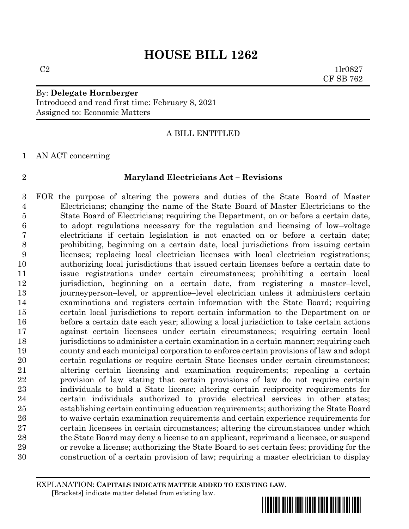$C2$  1lr0827 CF SB 762

# By: **Delegate Hornberger** Introduced and read first time: February 8, 2021 Assigned to: Economic Matters

# A BILL ENTITLED

AN ACT concerning

#### **Maryland Electricians Act – Revisions**

 FOR the purpose of altering the powers and duties of the State Board of Master Electricians; changing the name of the State Board of Master Electricians to the State Board of Electricians; requiring the Department, on or before a certain date, to adopt regulations necessary for the regulation and licensing of low–voltage electricians if certain legislation is not enacted on or before a certain date; prohibiting, beginning on a certain date, local jurisdictions from issuing certain licenses; replacing local electrician licenses with local electrician registrations; authorizing local jurisdictions that issued certain licenses before a certain date to issue registrations under certain circumstances; prohibiting a certain local jurisdiction, beginning on a certain date, from registering a master–level, journeyperson–level, or apprentice–level electrician unless it administers certain examinations and registers certain information with the State Board; requiring certain local jurisdictions to report certain information to the Department on or before a certain date each year; allowing a local jurisdiction to take certain actions against certain licensees under certain circumstances; requiring certain local jurisdictions to administer a certain examination in a certain manner; requiring each county and each municipal corporation to enforce certain provisions of law and adopt certain regulations or require certain State licenses under certain circumstances; altering certain licensing and examination requirements; repealing a certain provision of law stating that certain provisions of law do not require certain individuals to hold a State license; altering certain reciprocity requirements for certain individuals authorized to provide electrical services in other states; establishing certain continuing education requirements; authorizing the State Board to waive certain examination requirements and certain experience requirements for certain licensees in certain circumstances; altering the circumstances under which the State Board may deny a license to an applicant, reprimand a licensee, or suspend or revoke a license; authorizing the State Board to set certain fees; providing for the construction of a certain provision of law; requiring a master electrician to display

EXPLANATION: **CAPITALS INDICATE MATTER ADDED TO EXISTING LAW**.  **[**Brackets**]** indicate matter deleted from existing law.

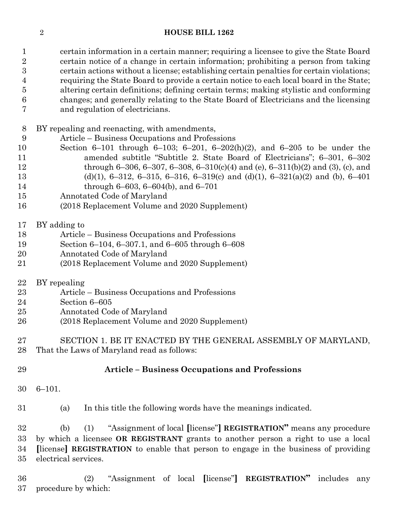certain information in a certain manner; requiring a licensee to give the State Board certain notice of a change in certain information; prohibiting a person from taking certain actions without a license; establishing certain penalties for certain violations; requiring the State Board to provide a certain notice to each local board in the State; altering certain definitions; defining certain terms; making stylistic and conforming changes; and generally relating to the State Board of Electricians and the licensing and regulation of electricians.

BY repealing and reenacting, with amendments,

Article – Business Occupations and Professions

- Section 6–101 through 6–103; 6–201, 6–202(h)(2), and 6–205 to be under the amended subtitle "Subtitle 2. State Board of Electricians"; 6–301, 6–302 through 6–306, 6–307, 6–308, 6–310(c)(4) and (e), 6–311(b)(2) and (3), (c), and (d)(1), 6–312, 6–315, 6–316, 6–319(c) and (d)(1), 6–321(a)(2) and (b), 6–401 through 6–603, 6–604(b), and 6–701
- Annotated Code of Maryland
- (2018 Replacement Volume and 2020 Supplement)

# BY adding to

- Article Business Occupations and Professions
- Section 6–104, 6–307.1, and 6–605 through 6–608
- Annotated Code of Maryland
- (2018 Replacement Volume and 2020 Supplement)
- BY repealing
- Article Business Occupations and Professions
- Section 6–605
- Annotated Code of Maryland
- (2018 Replacement Volume and 2020 Supplement)
- SECTION 1. BE IT ENACTED BY THE GENERAL ASSEMBLY OF MARYLAND,
- That the Laws of Maryland read as follows:

# **Article – Business Occupations and Professions**

6–101.

(a) In this title the following words have the meanings indicated.

 (b) (1) "Assignment of local **[**license"**] REGISTRATION"** means any procedure by which a licensee **OR REGISTRANT** grants to another person a right to use a local **[**license**] REGISTRATION** to enable that person to engage in the business of providing electrical services.

 (2) "Assignment of local **[**license"**] REGISTRATION"** includes any procedure by which: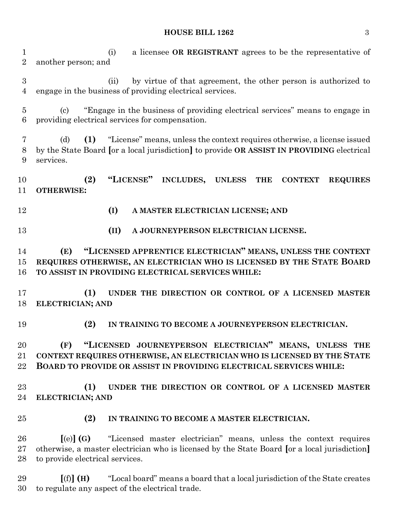(i) a licensee **OR REGISTRANT** agrees to be the representative of another person; and (ii) by virtue of that agreement, the other person is authorized to engage in the business of providing electrical services. (c) "Engage in the business of providing electrical services" means to engage in providing electrical services for compensation. (d) **(1)** "License" means, unless the context requires otherwise, a license issued by the State Board **[**or a local jurisdiction**]** to provide **OR ASSIST IN PROVIDING** electrical services. **(2) "LICENSE" INCLUDES, UNLESS THE CONTEXT REQUIRES OTHERWISE: (I) A MASTER ELECTRICIAN LICENSE; AND (II) A JOURNEYPERSON ELECTRICIAN LICENSE. (E) "LICENSED APPRENTICE ELECTRICIAN" MEANS, UNLESS THE CONTEXT REQUIRES OTHERWISE, AN ELECTRICIAN WHO IS LICENSED BY THE STATE BOARD TO ASSIST IN PROVIDING ELECTRICAL SERVICES WHILE: (1) UNDER THE DIRECTION OR CONTROL OF A LICENSED MASTER ELECTRICIAN; AND (2) IN TRAINING TO BECOME A JOURNEYPERSON ELECTRICIAN. (F) "LICENSED JOURNEYPERSON ELECTRICIAN" MEANS, UNLESS THE CONTEXT REQUIRES OTHERWISE, AN ELECTRICIAN WHO IS LICENSED BY THE STATE BOARD TO PROVIDE OR ASSIST IN PROVIDING ELECTRICAL SERVICES WHILE: (1) UNDER THE DIRECTION OR CONTROL OF A LICENSED MASTER ELECTRICIAN; AND (2) IN TRAINING TO BECOME A MASTER ELECTRICIAN. [**(e)**] (G)** "Licensed master electrician" means, unless the context requires otherwise, a master electrician who is licensed by the State Board **[**or a local jurisdiction**]** to provide electrical services. **[**(f)**] (H)** "Local board" means a board that a local jurisdiction of the State creates to regulate any aspect of the electrical trade.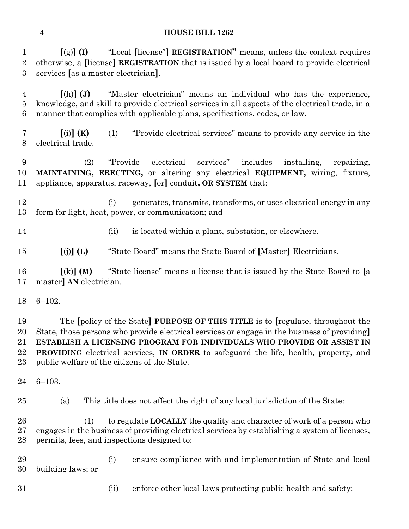**[**(g)**] (I)** "Local **[**license"**] REGISTRATION"** means, unless the context requires otherwise, a **[**license**] REGISTRATION** that is issued by a local board to provide electrical services **[**as a master electrician**]**.

 **[**(h)**] (J)** "Master electrician" means an individual who has the experience, knowledge, and skill to provide electrical services in all aspects of the electrical trade, in a manner that complies with applicable plans, specifications, codes, or law.

 **[**(i)**] (K)** (1) "Provide electrical services" means to provide any service in the electrical trade.

 (2) "Provide electrical services" includes installing, repairing, **MAINTAINING, ERECTING,** or altering any electrical **EQUIPMENT,** wiring, fixture, appliance, apparatus, raceway, **[**or**]** conduit**, OR SYSTEM** that:

- (i) generates, transmits, transforms, or uses electrical energy in any form for light, heat, power, or communication; and
- 
- (ii) is located within a plant, substation, or elsewhere.

**[**(j)**] (L)** "State Board" means the State Board of **[**Master**]** Electricians.

 **[**(k)**] (M)** "State license" means a license that is issued by the State Board to **[**a master**] AN** electrician.

6–102.

 The **[**policy of the State**] PURPOSE OF THIS TITLE** is to **[**regulate, throughout the State, those persons who provide electrical services or engage in the business of providing**] ESTABLISH A LICENSING PROGRAM FOR INDIVIDUALS WHO PROVIDE OR ASSIST IN PROVIDING** electrical services, **IN ORDER** to safeguard the life, health, property, and public welfare of the citizens of the State.

6–103.

(a) This title does not affect the right of any local jurisdiction of the State:

 (1) to regulate **LOCALLY** the quality and character of work of a person who engages in the business of providing electrical services by establishing a system of licenses, permits, fees, and inspections designed to:

 (i) ensure compliance with and implementation of State and local building laws; or

(ii) enforce other local laws protecting public health and safety;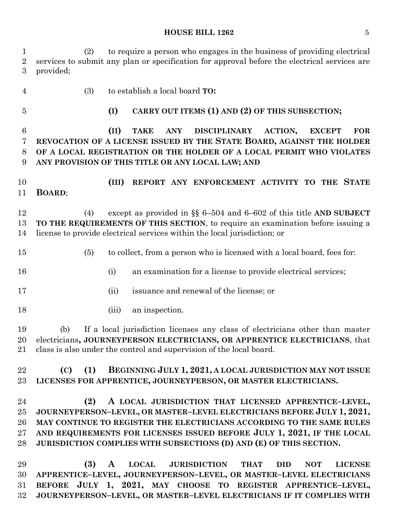(2) to require a person who engages in the business of providing electrical services to submit any plan or specification for approval before the electrical services are provided;

(3) to establish a local board **TO:**

# **(I) CARRY OUT ITEMS (1) AND (2) OF THIS SUBSECTION;**

 **(II) TAKE ANY DISCIPLINARY ACTION, EXCEPT FOR REVOCATION OF A LICENSE ISSUED BY THE STATE BOARD, AGAINST THE HOLDER OF A LOCAL REGISTRATION OR THE HOLDER OF A LOCAL PERMIT WHO VIOLATES ANY PROVISION OF THIS TITLE OR ANY LOCAL LAW; AND**

 **(III) REPORT ANY ENFORCEMENT ACTIVITY TO THE STATE BOARD**;

 (4) except as provided in §§ 6–504 and 6–602 of this title **AND SUBJECT TO THE REQUIREMENTS OF THIS SECTION**, to require an examination before issuing a license to provide electrical services within the local jurisdiction; or

- (5) to collect, from a person who is licensed with a local board, fees for:
- 16 (i) an examination for a license to provide electrical services;
- (ii) issuance and renewal of the license; or
- 18 (iii) an inspection.

 (b) If a local jurisdiction licenses any class of electricians other than master electricians**, JOURNEYPERSON ELECTRICIANS, OR APPRENTICE ELECTRICIANS**, that class is also under the control and supervision of the local board.

 **(C) (1) BEGINNING JULY 1, 2021, A LOCAL JURISDICTION MAY NOT ISSUE LICENSES FOR APPRENTICE, JOURNEYPERSON, OR MASTER ELECTRICIANS.**

 **(2) A LOCAL JURISDICTION THAT LICENSED APPRENTICE–LEVEL, JOURNEYPERSON–LEVEL, OR MASTER–LEVEL ELECTRICIANS BEFORE JULY 1, 2021, MAY CONTINUE TO REGISTER THE ELECTRICIANS ACCORDING TO THE SAME RULES AND REQUIREMENTS FOR LICENSES ISSUED BEFORE JULY 1, 2021, IF THE LOCAL JURISDICTION COMPLIES WITH SUBSECTIONS (D) AND (E) OF THIS SECTION.**

 **(3) A LOCAL JURISDICTION THAT DID NOT LICENSE APPRENTICE–LEVEL, JOURNEYPERSON–LEVEL, OR MASTER–LEVEL ELECTRICIANS BEFORE JULY 1, 2021, MAY CHOOSE TO REGISTER APPRENTICE–LEVEL, JOURNEYPERSON–LEVEL, OR MASTER–LEVEL ELECTRICIANS IF IT COMPLIES WITH**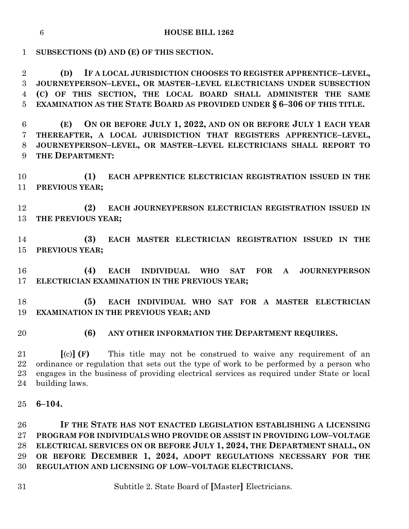**SUBSECTIONS (D) AND (E) OF THIS SECTION.**

 **(D) IF A LOCAL JURISDICTION CHOOSES TO REGISTER APPRENTICE–LEVEL, JOURNEYPERSON–LEVEL, OR MASTER–LEVEL ELECTRICIANS UNDER SUBSECTION (C) OF THIS SECTION, THE LOCAL BOARD SHALL ADMINISTER THE SAME EXAMINATION AS THE STATE BOARD AS PROVIDED UNDER § 6–306 OF THIS TITLE.**

 **(E) ON OR BEFORE JULY 1, 2022, AND ON OR BEFORE JULY 1 EACH YEAR THEREAFTER, A LOCAL JURISDICTION THAT REGISTERS APPRENTICE–LEVEL, JOURNEYPERSON–LEVEL, OR MASTER–LEVEL ELECTRICIANS SHALL REPORT TO THE DEPARTMENT:**

 **(1) EACH APPRENTICE ELECTRICIAN REGISTRATION ISSUED IN THE PREVIOUS YEAR;**

 **(2) EACH JOURNEYPERSON ELECTRICIAN REGISTRATION ISSUED IN THE PREVIOUS YEAR;**

 **(3) EACH MASTER ELECTRICIAN REGISTRATION ISSUED IN THE PREVIOUS YEAR;**

 **(4) EACH INDIVIDUAL WHO SAT FOR A JOURNEYPERSON ELECTRICIAN EXAMINATION IN THE PREVIOUS YEAR;**

 **(5) EACH INDIVIDUAL WHO SAT FOR A MASTER ELECTRICIAN EXAMINATION IN THE PREVIOUS YEAR; AND**

# **(6)** ANY OTHER INFORMATION THE **DEPARTMENT REQUIRES**.

 **[**(c)**] (F)** This title may not be construed to waive any requirement of an ordinance or regulation that sets out the type of work to be performed by a person who engages in the business of providing electrical services as required under State or local building laws.

**6–104.**

 **IF THE STATE HAS NOT ENACTED LEGISLATION ESTABLISHING A LICENSING PROGRAM FOR INDIVIDUALS WHO PROVIDE OR ASSIST IN PROVIDING LOW–VOLTAGE ELECTRICAL SERVICES ON OR BEFORE JULY 1, 2024, THE DEPARTMENT SHALL, ON OR BEFORE DECEMBER 1, 2024, ADOPT REGULATIONS NECESSARY FOR THE REGULATION AND LICENSING OF LOW–VOLTAGE ELECTRICIANS.**

Subtitle 2. State Board of **[**Master**]** Electricians.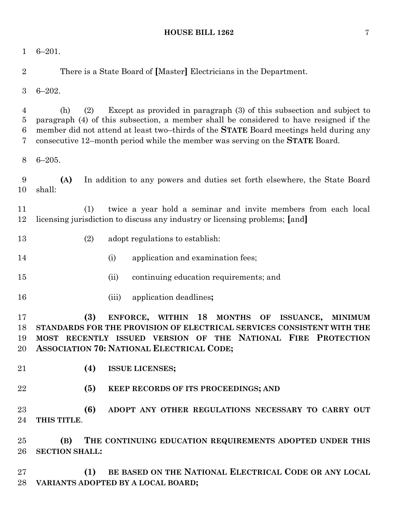| 1                             | $6 - 201.$                                                                                                                                                                                                                                                                                                                                                    |
|-------------------------------|---------------------------------------------------------------------------------------------------------------------------------------------------------------------------------------------------------------------------------------------------------------------------------------------------------------------------------------------------------------|
| $\overline{2}$                | There is a State Board of [Master] Electricians in the Department.                                                                                                                                                                                                                                                                                            |
| 3                             | $6 - 202.$                                                                                                                                                                                                                                                                                                                                                    |
| 4<br>$\overline{5}$<br>6<br>7 | Except as provided in paragraph (3) of this subsection and subject to<br>(2)<br>(h)<br>paragraph (4) of this subsection, a member shall be considered to have resigned if the<br>member did not attend at least two-thirds of the STATE Board meetings held during any<br>consecutive 12–month period while the member was serving on the <b>STATE</b> Board. |
| 8                             | $6 - 205.$                                                                                                                                                                                                                                                                                                                                                    |
| 9<br>10                       | (A)<br>In addition to any powers and duties set forth elsewhere, the State Board<br>shall:                                                                                                                                                                                                                                                                    |
| 11<br>12                      | twice a year hold a seminar and invite members from each local<br>(1)<br>licensing jurisdiction to discuss any industry or licensing problems; [and]                                                                                                                                                                                                          |
| 13                            | (2)<br>adopt regulations to establish:                                                                                                                                                                                                                                                                                                                        |
| 14                            | (i)<br>application and examination fees;                                                                                                                                                                                                                                                                                                                      |
| 15                            | continuing education requirements; and<br>(ii)                                                                                                                                                                                                                                                                                                                |
| 16                            | application deadlines;<br>(iii)                                                                                                                                                                                                                                                                                                                               |
| 17<br>18<br>19<br>20          | (3)<br>ENFORCE,<br><b>WITHIN</b><br>18<br><b>MONTHS</b><br>ISSUANCE,<br>OF<br><b>MINIMUM</b><br>STANDARDS FOR THE PROVISION OF ELECTRICAL SERVICES CONSISTENT WITH THE<br>RECENTLY ISSUED VERSION OF THE NATIONAL FIRE PROTECTION<br><b>MOST</b><br>ASSOCIATION 70: NATIONAL ELECTRICAL CODE;                                                                 |
| 21                            | (4)<br><b>ISSUE LICENSES;</b>                                                                                                                                                                                                                                                                                                                                 |
| 22                            | (5)<br>KEEP RECORDS OF ITS PROCEEDINGS; AND                                                                                                                                                                                                                                                                                                                   |
| 23<br>24                      | (6)<br>ADOPT ANY OTHER REGULATIONS NECESSARY TO CARRY OUT<br>THIS TITLE.                                                                                                                                                                                                                                                                                      |
| 25<br>26                      | THE CONTINUING EDUCATION REQUIREMENTS ADOPTED UNDER THIS<br>(B)<br><b>SECTION SHALL:</b>                                                                                                                                                                                                                                                                      |
| 27<br>28                      | BE BASED ON THE NATIONAL ELECTRICAL CODE OR ANY LOCAL<br>(1)<br>VARIANTS ADOPTED BY A LOCAL BOARD;                                                                                                                                                                                                                                                            |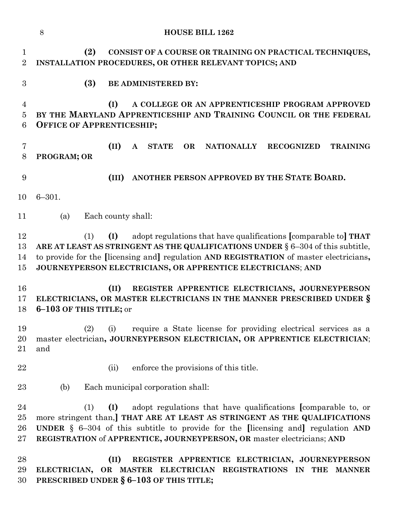|                                              | 8<br><b>HOUSE BILL 1262</b>                                                                                                                                                                                                                                                                                                      |
|----------------------------------------------|----------------------------------------------------------------------------------------------------------------------------------------------------------------------------------------------------------------------------------------------------------------------------------------------------------------------------------|
| $\mathbf{1}$<br>$\overline{2}$               | (2)<br>CONSIST OF A COURSE OR TRAINING ON PRACTICAL TECHNIQUES,<br>INSTALLATION PROCEDURES, OR OTHER RELEVANT TOPICS; AND                                                                                                                                                                                                        |
| 3                                            | (3)<br><b>BE ADMINISTERED BY:</b>                                                                                                                                                                                                                                                                                                |
| $\overline{4}$<br>$\bf 5$<br>$6\phantom{.}6$ | (I)<br>A COLLEGE OR AN APPRENTICESHIP PROGRAM APPROVED<br>BY THE MARYLAND APPRENTICESHIP AND TRAINING COUNCIL OR THE FEDERAL<br><b>OFFICE OF APPRENTICESHIP;</b>                                                                                                                                                                 |
| 7<br>8                                       | (II)<br><b>STATE</b><br><b>OR</b><br><b>NATIONALLY</b><br><b>RECOGNIZED</b><br><b>TRAINING</b><br>A<br>PROGRAM; OR                                                                                                                                                                                                               |
| 9                                            | ANOTHER PERSON APPROVED BY THE STATE BOARD.<br>(III)                                                                                                                                                                                                                                                                             |
| 10                                           | $6 - 301.$                                                                                                                                                                                                                                                                                                                       |
| 11                                           | Each county shall:<br>(a)                                                                                                                                                                                                                                                                                                        |
| 12<br>13<br>14<br>15                         | adopt regulations that have qualifications [comparable to] THAT<br>(I)<br>(1)<br>ARE AT LEAST AS STRINGENT AS THE QUALIFICATIONS UNDER § 6-304 of this subtitle,<br>to provide for the [licensing and] regulation AND REGISTRATION of master electricians,<br>JOURNEYPERSON ELECTRICIANS, OR APPRENTICE ELECTRICIANS; AND        |
| 16<br>17<br>18                               | (II)<br>REGISTER APPRENTICE ELECTRICIANS, JOURNEYPERSON<br>ELECTRICIANS, OR MASTER ELECTRICIANS IN THE MANNER PRESCRIBED UNDER §<br>6-103 OF THIS TITLE; or                                                                                                                                                                      |
| 19<br>20<br>21                               | (2) (i) require a State license for providing electrical services as a<br>master electrician, JOURNEYPERSON ELECTRICIAN, OR APPRENTICE ELECTRICIAN;<br>and                                                                                                                                                                       |
| 22                                           | enforce the provisions of this title.<br>(ii)                                                                                                                                                                                                                                                                                    |
| 23                                           | Each municipal corporation shall:<br>(b)                                                                                                                                                                                                                                                                                         |
| 24<br>25<br>26<br>27                         | adopt regulations that have qualifications [comparable to, or<br>(1)<br>(I)<br>more stringent than, THAT ARE AT LEAST AS STRINGENT AS THE QUALIFICATIONS<br><b>UNDER</b> $\S$ 6-304 of this subtitle to provide for the [licensing and] regulation AND<br>REGISTRATION of APPRENTICE, JOURNEYPERSON, OR master electricians; AND |
| 28<br>29<br>30                               | (II)<br>REGISTER APPRENTICE ELECTRICIAN, JOURNEYPERSON<br>ELECTRICIAN, OR MASTER ELECTRICIAN REGISTRATIONS IN THE MANNER<br>PRESCRIBED UNDER § 6-103 OF THIS TITLE;                                                                                                                                                              |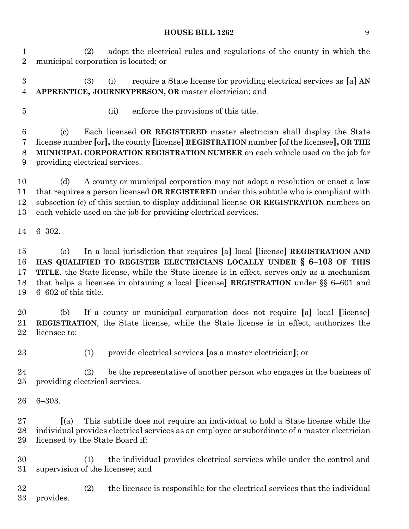(2) adopt the electrical rules and regulations of the county in which the municipal corporation is located; or

 (3) (i) require a State license for providing electrical services as **[**a**] AN APPRENTICE, JOURNEYPERSON, OR** master electrician; and

- 
- (ii) enforce the provisions of this title.

 (c) Each licensed **OR REGISTERED** master electrician shall display the State license number **[**or**],** the county **[**license**] REGISTRATION** number **[**of the licensee**], OR THE MUNICIPAL CORPORATION REGISTRATION NUMBER** on each vehicle used on the job for providing electrical services.

 (d) A county or municipal corporation may not adopt a resolution or enact a law that requires a person licensed **OR REGISTERED** under this subtitle who is compliant with subsection (c) of this section to display additional license **OR REGISTRATION** numbers on each vehicle used on the job for providing electrical services.

6–302.

 (a) In a local jurisdiction that requires **[**a**]** local **[**license**] REGISTRATION AND HAS QUALIFIED TO REGISTER ELECTRICIANS LOCALLY UNDER § 6–103 OF THIS TITLE**, the State license, while the State license is in effect, serves only as a mechanism that helps a licensee in obtaining a local **[**license**] REGISTRATION** under §§ 6–601 and 6–602 of this title.

 (b) If a county or municipal corporation does not require **[**a**]** local **[**license**] REGISTRATION**, the State license, while the State license is in effect, authorizes the licensee to:

(1) provide electrical services **[**as a master electrician**]**; or

 (2) be the representative of another person who engages in the business of providing electrical services.

6–303.

 **[**(a) This subtitle does not require an individual to hold a State license while the individual provides electrical services as an employee or subordinate of a master electrician licensed by the State Board if:

 (1) the individual provides electrical services while under the control and supervision of the licensee; and

 (2) the licensee is responsible for the electrical services that the individual provides.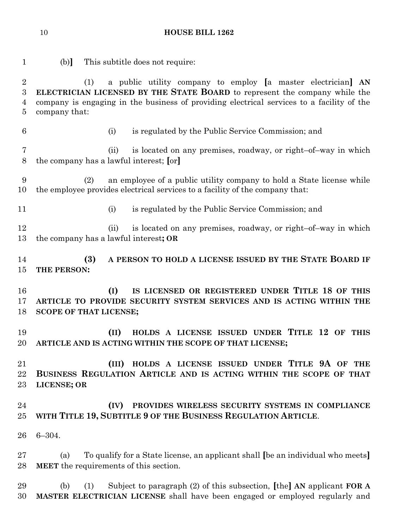| $\mathbf{1}$                                                | This subtitle does not require:<br>(b)                                                                                                                                                                                                                          |
|-------------------------------------------------------------|-----------------------------------------------------------------------------------------------------------------------------------------------------------------------------------------------------------------------------------------------------------------|
| $\boldsymbol{2}$<br>$\boldsymbol{3}$<br>$\overline{4}$<br>5 | a public utility company to employ [a master electrician] AN<br>(1)<br>ELECTRICIAN LICENSED BY THE STATE BOARD to represent the company while the<br>company is engaging in the business of providing electrical services to a facility of the<br>company that: |
| $6\phantom{.}6$                                             | is regulated by the Public Service Commission; and<br>(i)                                                                                                                                                                                                       |
| $\overline{7}$<br>8                                         | is located on any premises, roadway, or right-of-way in which<br>(ii)<br>the company has a lawful interest; [or]                                                                                                                                                |
| 9<br>10                                                     | an employee of a public utility company to hold a State license while<br>(2)<br>the employee provides electrical services to a facility of the company that:                                                                                                    |
| 11                                                          | is regulated by the Public Service Commission; and<br>(i)                                                                                                                                                                                                       |
| 12<br>13                                                    | is located on any premises, roadway, or right-of-way in which<br>(ii)<br>the company has a lawful interest; OR                                                                                                                                                  |
| 14<br>15                                                    | (3)<br>A PERSON TO HOLD A LICENSE ISSUED BY THE STATE BOARD IF<br>THE PERSON:                                                                                                                                                                                   |
| 16<br>17<br>18                                              | IS LICENSED OR REGISTERED UNDER TITLE 18 OF THIS<br>(I)<br>ARTICLE TO PROVIDE SECURITY SYSTEM SERVICES AND IS ACTING WITHIN THE<br><b>SCOPE OF THAT LICENSE;</b>                                                                                                |
| 19<br>20                                                    | HOLDS A LICENSE ISSUED UNDER TITLE 12 OF THIS<br>(II)<br>ARTICLE AND IS ACTING WITHIN THE SCOPE OF THAT LICENSE;                                                                                                                                                |
| 21<br>22<br>23                                              | HOLDS A LICENSE ISSUED UNDER TITLE 9A OF THE<br>(III)<br>BUSINESS REGULATION ARTICLE AND IS ACTING WITHIN THE SCOPE OF THAT<br><b>LICENSE; OR</b>                                                                                                               |
| 24<br>25                                                    | (IV)<br>PROVIDES WIRELESS SECURITY SYSTEMS IN COMPLIANCE<br>WITH TITLE 19, SUBTITLE 9 OF THE BUSINESS REGULATION ARTICLE.                                                                                                                                       |
| 26                                                          | $6 - 304.$                                                                                                                                                                                                                                                      |
| 27<br>28                                                    | To qualify for a State license, an applicant shall [be an individual who meets]<br>(a)<br><b>MEET</b> the requirements of this section.                                                                                                                         |
| 29<br>30                                                    | Subject to paragraph $(2)$ of this subsection, [the] AN applicant FOR A<br>(b)<br>(1)<br>MASTER ELECTRICIAN LICENSE shall have been engaged or employed regularly and                                                                                           |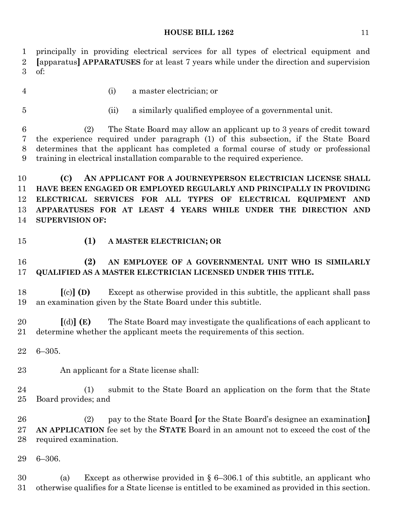principally in providing electrical services for all types of electrical equipment and **[**apparatus**] APPARATUSES** for at least 7 years while under the direction and supervision of:

(i) a master electrician; or

- 
- (ii) a similarly qualified employee of a governmental unit.

 (2) The State Board may allow an applicant up to 3 years of credit toward the experience required under paragraph (1) of this subsection, if the State Board determines that the applicant has completed a formal course of study or professional training in electrical installation comparable to the required experience.

 **(C) AN APPLICANT FOR A JOURNEYPERSON ELECTRICIAN LICENSE SHALL HAVE BEEN ENGAGED OR EMPLOYED REGULARLY AND PRINCIPALLY IN PROVIDING ELECTRICAL SERVICES FOR ALL TYPES OF ELECTRICAL EQUIPMENT AND APPARATUSES FOR AT LEAST 4 YEARS WHILE UNDER THE DIRECTION AND SUPERVISION OF:**

#### **(1) A MASTER ELECTRICIAN; OR**

# **(2) AN EMPLOYEE OF A GOVERNMENTAL UNIT WHO IS SIMILARLY QUALIFIED AS A MASTER ELECTRICIAN LICENSED UNDER THIS TITLE.**

 **[**(c)**] (D)** Except as otherwise provided in this subtitle, the applicant shall pass an examination given by the State Board under this subtitle.

 **[**(d)**] (E)** The State Board may investigate the qualifications of each applicant to determine whether the applicant meets the requirements of this section.

6–305.

An applicant for a State license shall:

 (1) submit to the State Board an application on the form that the State Board provides; and

 (2) pay to the State Board **[**or the State Board's designee an examination**] AN APPLICATION** fee set by the **STATE** Board in an amount not to exceed the cost of the required examination.

6–306.

 (a) Except as otherwise provided in § 6–306.1 of this subtitle, an applicant who otherwise qualifies for a State license is entitled to be examined as provided in this section.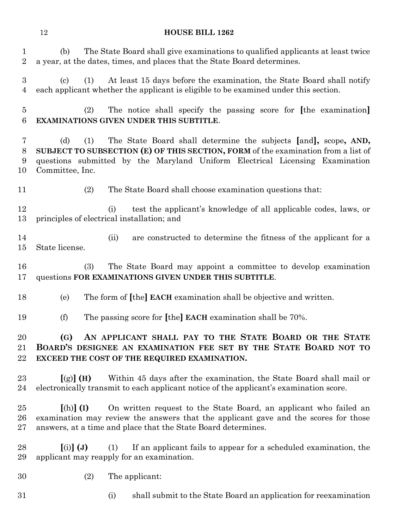| 1<br>$\sqrt{2}$                    | The State Board shall give examinations to qualified applicants at least twice<br>(b)<br>a year, at the dates, times, and places that the State Board determines.                                                                                                     |
|------------------------------------|-----------------------------------------------------------------------------------------------------------------------------------------------------------------------------------------------------------------------------------------------------------------------|
| $\boldsymbol{3}$<br>$\overline{4}$ | At least 15 days before the examination, the State Board shall notify<br>$\left( \mathrm{c}\right)$<br>(1)<br>each applicant whether the applicant is eligible to be examined under this section.                                                                     |
| $\overline{5}$<br>6                | The notice shall specify the passing score for [the examination]<br>(2)<br>EXAMINATIONS GIVEN UNDER THIS SUBTITLE.                                                                                                                                                    |
| 7<br>8<br>9<br>10                  | The State Board shall determine the subjects [and], scope, AND,<br>(d)<br>(1)<br>SUBJECT TO SUBSECTION (E) OF THIS SECTION, FORM of the examination from a list of<br>questions submitted by the Maryland Uniform Electrical Licensing Examination<br>Committee, Inc. |
| 11                                 | (2)<br>The State Board shall choose examination questions that:                                                                                                                                                                                                       |
| 12<br>13                           | test the applicant's knowledge of all applicable codes, laws, or<br>(i)<br>principles of electrical installation; and                                                                                                                                                 |
| 14<br>15                           | (ii)<br>are constructed to determine the fitness of the applicant for a<br>State license.                                                                                                                                                                             |
| 16<br>17                           | The State Board may appoint a committee to develop examination<br>(3)<br>questions FOR EXAMINATIONS GIVEN UNDER THIS SUBTITLE.                                                                                                                                        |
| 18                                 | The form of [the] EACH examination shall be objective and written.<br>(e)                                                                                                                                                                                             |
| 19                                 | The passing score for [the] EACH examination shall be 70%.<br>(f)                                                                                                                                                                                                     |
| 20<br>21<br>22                     | AN APPLICANT SHALL PAY TO THE STATE BOARD OR THE STATE<br>(G)<br>BOARD'S DESIGNEE AN EXAMINATION FEE SET BY THE STATE BOARD NOT TO<br>EXCEED THE COST OF THE REQUIRED EXAMINATION.                                                                                    |
| 23<br>24                           | Within 45 days after the examination, the State Board shall mail or<br>$[(g)]$ (H)<br>electronically transmit to each applicant notice of the applicant's examination score.                                                                                          |
| 25<br>26<br>27                     | On written request to the State Board, an applicant who failed an<br>$[(h)]$ (I)<br>examination may review the answers that the applicant gave and the scores for those<br>answers, at a time and place that the State Board determines.                              |
| 28<br>29                           | $(i)$ $(J)$<br>If an applicant fails to appear for a scheduled examination, the<br>(1)<br>applicant may reapply for an examination.                                                                                                                                   |
| 30                                 | The applicant:<br>(2)                                                                                                                                                                                                                                                 |
| 31                                 | shall submit to the State Board an application for reexamination<br>(i)                                                                                                                                                                                               |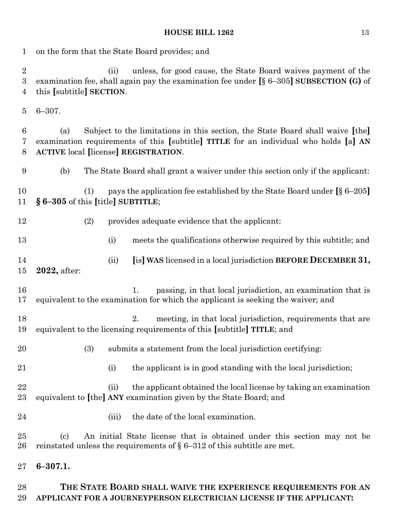on the form that the State Board provides; and (ii) unless, for good cause, the State Board waives payment of the examination fee, shall again pay the examination fee under **[**§ 6–305**] SUBSECTION (G)** of this **[**subtitle**] SECTION**. 6–307. (a) Subject to the limitations in this section, the State Board shall waive **[**the**]** examination requirements of this **[**subtitle**] TITLE** for an individual who holds **[**a**] AN ACTIVE** local **[**license**] REGISTRATION**. (b) The State Board shall grant a waiver under this section only if the applicant: (1) pays the application fee established by the State Board under **[**§ 6–205**] § 6–305** of this **[**title**] SUBTITLE**; (2) provides adequate evidence that the applicant: (i) meets the qualifications otherwise required by this subtitle; and (ii) **[**is**] WAS** licensed in a local jurisdiction **BEFORE DECEMBER 31, 2022,** after: 16 1. passing, in that local jurisdiction, an examination that is equivalent to the examination for which the applicant is seeking the waiver; and 18 2. meeting, in that local jurisdiction, requirements that are equivalent to the licensing requirements of this **[**subtitle**] TITLE**; and (3) submits a statement from the local jurisdiction certifying: 21 (i) the applicant is in good standing with the local jurisdiction; (ii) the applicant obtained the local license by taking an examination equivalent to **[**the**] ANY** examination given by the State Board; and (iii) the date of the local examination. (c) An initial State license that is obtained under this section may not be 26 reinstated unless the requirements of  $\S 6-312$  of this subtitle are met. **6–307.1.**

# **THE STATE BOARD SHALL WAIVE THE EXPERIENCE REQUIREMENTS FOR AN APPLICANT FOR A JOURNEYPERSON ELECTRICIAN LICENSE IF THE APPLICANT:**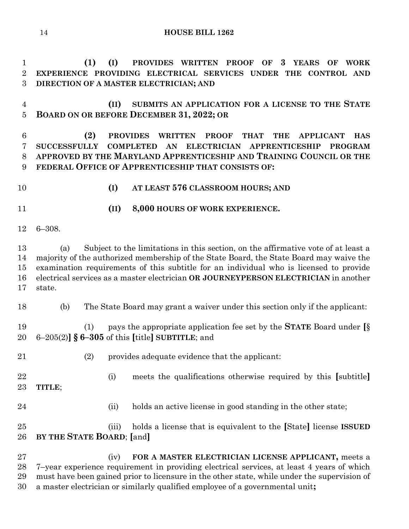**(1) (I) PROVIDES WRITTEN PROOF OF 3 YEARS OF WORK EXPERIENCE PROVIDING ELECTRICAL SERVICES UNDER THE CONTROL AND DIRECTION OF A MASTER ELECTRICIAN; AND**

 **(II) SUBMITS AN APPLICATION FOR A LICENSE TO THE STATE BOARD ON OR BEFORE DECEMBER 31, 2022; OR**

 **(2) PROVIDES WRITTEN PROOF THAT THE APPLICANT HAS SUCCESSFULLY COMPLETED AN ELECTRICIAN APPRENTICESHIP PROGRAM APPROVED BY THE MARYLAND APPRENTICESHIP AND TRAINING COUNCIL OR THE FEDERAL OFFICE OF APPRENTICESHIP THAT CONSISTS OF:**

**(I) AT LEAST 576 CLASSROOM HOURS; AND**

- **(II) 8,000 HOURS OF WORK EXPERIENCE.**
- 6–308.

 (a) Subject to the limitations in this section, on the affirmative vote of at least a majority of the authorized membership of the State Board, the State Board may waive the examination requirements of this subtitle for an individual who is licensed to provide electrical services as a master electrician **OR JOURNEYPERSON ELECTRICIAN** in another state.

(b) The State Board may grant a waiver under this section only if the applicant:

 (1) pays the appropriate application fee set by the **STATE** Board under **[**§ 6–205(2)**] § 6–305** of this **[**title**] SUBTITLE**; and

- (2) provides adequate evidence that the applicant:
- (i) meets the qualifications otherwise required by this **[**subtitle**] TITLE**;
- 24 (ii) holds an active license in good standing in the other state;

 (iii) holds a license that is equivalent to the **[**State**]** license **ISSUED BY THE STATE BOARD**; **[**and**]**

 (iv) **FOR A MASTER ELECTRICIAN LICENSE APPLICANT,** meets a 7–year experience requirement in providing electrical services, at least 4 years of which must have been gained prior to licensure in the other state, while under the supervision of a master electrician or similarly qualified employee of a governmental unit**;**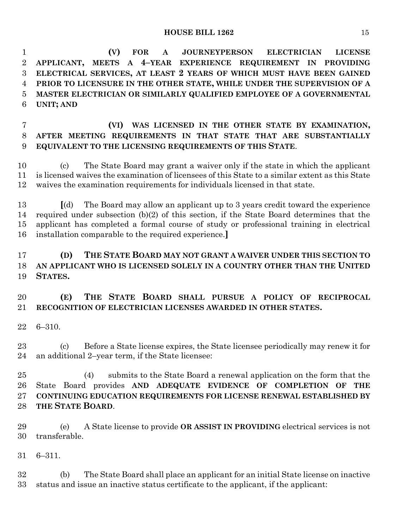**(V) FOR A JOURNEYPERSON ELECTRICIAN LICENSE APPLICANT, MEETS A 4–YEAR EXPERIENCE REQUIREMENT IN PROVIDING ELECTRICAL SERVICES, AT LEAST 2 YEARS OF WHICH MUST HAVE BEEN GAINED PRIOR TO LICENSURE IN THE OTHER STATE, WHILE UNDER THE SUPERVISION OF A MASTER ELECTRICIAN OR SIMILARLY QUALIFIED EMPLOYEE OF A GOVERNMENTAL UNIT; AND**

 **(VI) WAS LICENSED IN THE OTHER STATE BY EXAMINATION, AFTER MEETING REQUIREMENTS IN THAT STATE THAT ARE SUBSTANTIALLY EQUIVALENT TO THE LICENSING REQUIREMENTS OF THIS STATE**.

 (c) The State Board may grant a waiver only if the state in which the applicant is licensed waives the examination of licensees of this State to a similar extent as this State waives the examination requirements for individuals licensed in that state.

 **[**(d) The Board may allow an applicant up to 3 years credit toward the experience required under subsection (b)(2) of this section, if the State Board determines that the applicant has completed a formal course of study or professional training in electrical installation comparable to the required experience.**]**

# **(D) THE STATE BOARD MAY NOT GRANT A WAIVER UNDER THIS SECTION TO AN APPLICANT WHO IS LICENSED SOLELY IN A COUNTRY OTHER THAN THE UNITED STATES.**

# **(E) THE STATE BOARD SHALL PURSUE A POLICY OF RECIPROCAL RECOGNITION OF ELECTRICIAN LICENSES AWARDED IN OTHER STATES.**

6–310.

 (c) Before a State license expires, the State licensee periodically may renew it for an additional 2–year term, if the State licensee:

 (4) submits to the State Board a renewal application on the form that the State Board provides **AND ADEQUATE EVIDENCE OF COMPLETION OF THE CONTINUING EDUCATION REQUIREMENTS FOR LICENSE RENEWAL ESTABLISHED BY THE STATE BOARD**.

 (e) A State license to provide **OR ASSIST IN PROVIDING** electrical services is not transferable.

6–311.

 (b) The State Board shall place an applicant for an initial State license on inactive status and issue an inactive status certificate to the applicant, if the applicant: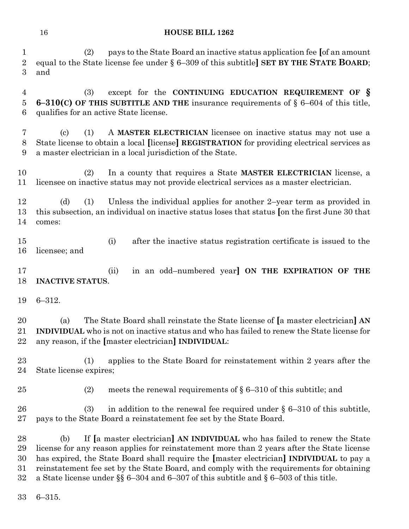(2) pays to the State Board an inactive status application fee **[**of an amount equal to the State license fee under § 6–309 of this subtitle**] SET BY THE STATE BOARD**; and

 (3) except for the **CONTINUING EDUCATION REQUIREMENT OF § 6–310(C) OF THIS SUBTITLE AND THE** insurance requirements of § 6–604 of this title, qualifies for an active State license.

 (c) (1) A **MASTER ELECTRICIAN** licensee on inactive status may not use a State license to obtain a local **[**license**] REGISTRATION** for providing electrical services as a master electrician in a local jurisdiction of the State.

 (2) In a county that requires a State **MASTER ELECTRICIAN** license, a licensee on inactive status may not provide electrical services as a master electrician.

 (d) (1) Unless the individual applies for another 2–year term as provided in this subsection, an individual on inactive status loses that status **[**on the first June 30 that comes:

 (i) after the inactive status registration certificate is issued to the licensee; and

 (ii) in an odd–numbered year**] ON THE EXPIRATION OF THE INACTIVE STATUS**.

6–312.

 (a) The State Board shall reinstate the State license of **[**a master electrician**] AN INDIVIDUAL** who is not on inactive status and who has failed to renew the State license for any reason, if the **[**master electrician**] INDIVIDUAL**:

 (1) applies to the State Board for reinstatement within 2 years after the State license expires;

25 (2) meets the renewal requirements of  $\S 6-310$  of this subtitle; and

26 (3) in addition to the renewal fee required under  $\S 6-310$  of this subtitle, pays to the State Board a reinstatement fee set by the State Board.

 (b) If **[**a master electrician**] AN INDIVIDUAL** who has failed to renew the State license for any reason applies for reinstatement more than 2 years after the State license has expired, the State Board shall require the **[**master electrician**] INDIVIDUAL** to pay a reinstatement fee set by the State Board, and comply with the requirements for obtaining a State license under §§ 6–304 and 6–307 of this subtitle and § 6–503 of this title.

6–315.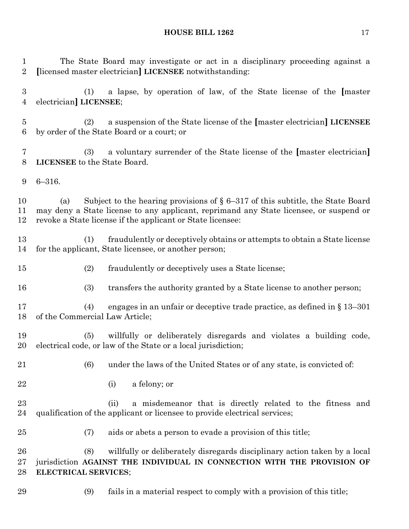The State Board may investigate or act in a disciplinary proceeding against a **[**licensed master electrician**] LICENSEE** notwithstanding:

 (1) a lapse, by operation of law, of the State license of the **[**master electrician**] LICENSEE**;

 (2) a suspension of the State license of the **[**master electrician**] LICENSEE** by order of the State Board or a court; or

 (3) a voluntary surrender of the State license of the **[**master electrician**] LICENSEE** to the State Board.

6–316.

 (a) Subject to the hearing provisions of § 6–317 of this subtitle, the State Board may deny a State license to any applicant, reprimand any State licensee, or suspend or revoke a State license if the applicant or State licensee:

 (1) fraudulently or deceptively obtains or attempts to obtain a State license for the applicant, State licensee, or another person;

- (2) fraudulently or deceptively uses a State license;
- (3) transfers the authority granted by a State license to another person;

 (4) engages in an unfair or deceptive trade practice, as defined in § 13–301 of the Commercial Law Article;

 (5) willfully or deliberately disregards and violates a building code, electrical code, or law of the State or a local jurisdiction;

- (6) under the laws of the United States or of any state, is convicted of:
- (i) a felony; or

 (ii) a misdemeanor that is directly related to the fitness and qualification of the applicant or licensee to provide electrical services;

(7) aids or abets a person to evade a provision of this title;

 (8) willfully or deliberately disregards disciplinary action taken by a local jurisdiction **AGAINST THE INDIVIDUAL IN CONNECTION WITH THE PROVISION OF ELECTRICAL SERVICES**;

(9) fails in a material respect to comply with a provision of this title;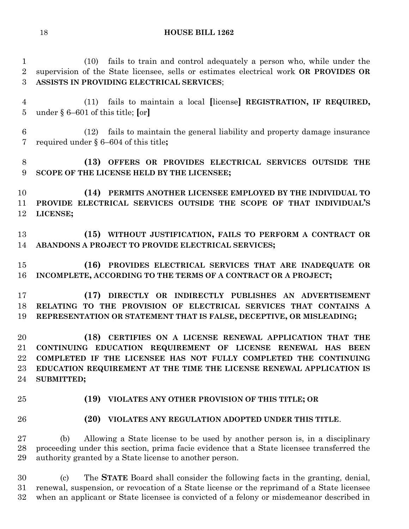(10) fails to train and control adequately a person who, while under the supervision of the State licensee, sells or estimates electrical work **OR PROVIDES OR ASSISTS IN PROVIDING ELECTRICAL SERVICES**;

 (11) fails to maintain a local **[**license**] REGISTRATION, IF REQUIRED,** under § 6–601 of this title; **[**or**]**

 (12) fails to maintain the general liability and property damage insurance required under § 6–604 of this title**;**

# **(13) OFFERS OR PROVIDES ELECTRICAL SERVICES OUTSIDE THE SCOPE OF THE LICENSE HELD BY THE LICENSEE;**

 **(14) PERMITS ANOTHER LICENSEE EMPLOYED BY THE INDIVIDUAL TO PROVIDE ELECTRICAL SERVICES OUTSIDE THE SCOPE OF THAT INDIVIDUAL'S LICENSE;**

 **(15) WITHOUT JUSTIFICATION, FAILS TO PERFORM A CONTRACT OR ABANDONS A PROJECT TO PROVIDE ELECTRICAL SERVICES;**

 **(16) PROVIDES ELECTRICAL SERVICES THAT ARE INADEQUATE OR INCOMPLETE, ACCORDING TO THE TERMS OF A CONTRACT OR A PROJECT;**

 **(17) DIRECTLY OR INDIRECTLY PUBLISHES AN ADVERTISEMENT RELATING TO THE PROVISION OF ELECTRICAL SERVICES THAT CONTAINS A REPRESENTATION OR STATEMENT THAT IS FALSE, DECEPTIVE, OR MISLEADING;**

 **(18) CERTIFIES ON A LICENSE RENEWAL APPLICATION THAT THE CONTINUING EDUCATION REQUIREMENT OF LICENSE RENEWAL HAS BEEN COMPLETED IF THE LICENSEE HAS NOT FULLY COMPLETED THE CONTINUING EDUCATION REQUIREMENT AT THE TIME THE LICENSE RENEWAL APPLICATION IS SUBMITTED;**

#### **(19) VIOLATES ANY OTHER PROVISION OF THIS TITLE; OR**

#### **(20) VIOLATES ANY REGULATION ADOPTED UNDER THIS TITLE**.

 (b) Allowing a State license to be used by another person is, in a disciplinary proceeding under this section, prima facie evidence that a State licensee transferred the authority granted by a State license to another person.

 (c) The **STATE** Board shall consider the following facts in the granting, denial, renewal, suspension, or revocation of a State license or the reprimand of a State licensee when an applicant or State licensee is convicted of a felony or misdemeanor described in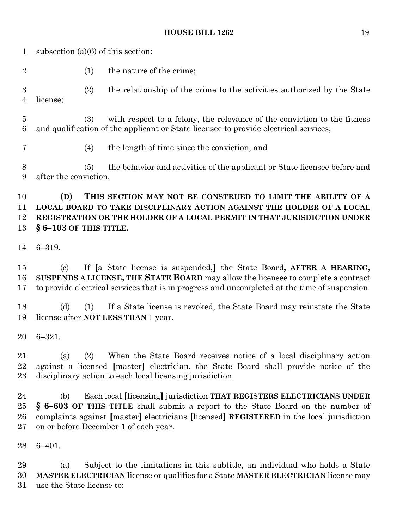subsection (a)(6) of this section: 2 (1) the nature of the crime; (2) the relationship of the crime to the activities authorized by the State license; (3) with respect to a felony, the relevance of the conviction to the fitness and qualification of the applicant or State licensee to provide electrical services; (4) the length of time since the conviction; and (5) the behavior and activities of the applicant or State licensee before and after the conviction. **(D) THIS SECTION MAY NOT BE CONSTRUED TO LIMIT THE ABILITY OF A** 

# **LOCAL BOARD TO TAKE DISCIPLINARY ACTION AGAINST THE HOLDER OF A LOCAL REGISTRATION OR THE HOLDER OF A LOCAL PERMIT IN THAT JURISDICTION UNDER § 6–103 OF THIS TITLE.**

6–319.

 (c) If **[**a State license is suspended,**]** the State Board**, AFTER A HEARING, SUSPENDS A LICENSE, THE STATE BOARD** may allow the licensee to complete a contract to provide electrical services that is in progress and uncompleted at the time of suspension.

 (d) (1) If a State license is revoked, the State Board may reinstate the State license after **NOT LESS THAN** 1 year.

6–321.

 (a) (2) When the State Board receives notice of a local disciplinary action against a licensed **[**master**]** electrician, the State Board shall provide notice of the disciplinary action to each local licensing jurisdiction.

 (b) Each local **[**licensing**]** jurisdiction **THAT REGISTERS ELECTRICIANS UNDER § 6–603 OF THIS TITLE** shall submit a report to the State Board on the number of complaints against **[**master**]** electricians **[**licensed**] REGISTERED** in the local jurisdiction on or before December 1 of each year.

6–401.

 (a) Subject to the limitations in this subtitle, an individual who holds a State **MASTER ELECTRICIAN** license or qualifies for a State **MASTER ELECTRICIAN** license may use the State license to: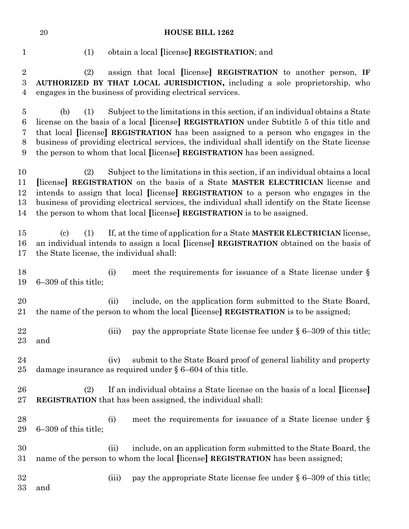(1) obtain a local **[**license**] REGISTRATION**; and

 (2) assign that local **[**license**] REGISTRATION** to another person, **IF AUTHORIZED BY THAT LOCAL JURISDICTION,** including a sole proprietorship, who engages in the business of providing electrical services.

 (b) (1) Subject to the limitations in this section, if an individual obtains a State license on the basis of a local **[**license**] REGISTRATION** under Subtitle 5 of this title and that local **[**license**] REGISTRATION** has been assigned to a person who engages in the business of providing electrical services, the individual shall identify on the State license the person to whom that local **[**license**] REGISTRATION** has been assigned.

 (2) Subject to the limitations in this section, if an individual obtains a local **[**license**] REGISTRATION** on the basis of a State **MASTER ELECTRICIAN** license and intends to assign that local **[**license**] REGISTRATION** to a person who engages in the business of providing electrical services, the individual shall identify on the State license the person to whom that local **[**license**] REGISTRATION** is to be assigned.

 (c) (1) If, at the time of application for a State **MASTER ELECTRICIAN** license, an individual intends to assign a local **[**license**] REGISTRATION** obtained on the basis of the State license, the individual shall:

18 (i) meet the requirements for issuance of a State license under § 6–309 of this title;

 (ii) include, on the application form submitted to the State Board, the name of the person to whom the local **[**license**] REGISTRATION** is to be assigned;

22 (iii) pay the appropriate State license fee under § 6–309 of this title; and

 (iv) submit to the State Board proof of general liability and property damage insurance as required under § 6–604 of this title.

 (2) If an individual obtains a State license on the basis of a local **[**license**] REGISTRATION** that has been assigned, the individual shall:

- 28 (i) meet the requirements for issuance of a State license under § 6–309 of this title;
- (ii) include, on an application form submitted to the State Board, the name of the person to whom the local **[**license**] REGISTRATION** has been assigned;
- 32 (iii) pay the appropriate State license fee under § 6–309 of this title;
- and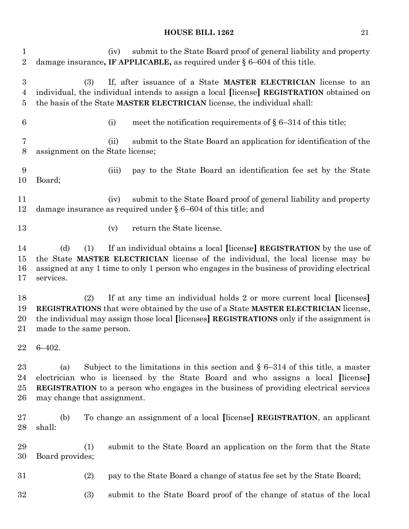| 1<br>$\overline{2}$                                  | submit to the State Board proof of general liability and property<br>(iv)<br>damage insurance, IF APPLICABLE, as required under $\S 6-604$ of this title.                                                                                                                                                   |
|------------------------------------------------------|-------------------------------------------------------------------------------------------------------------------------------------------------------------------------------------------------------------------------------------------------------------------------------------------------------------|
| $\boldsymbol{3}$<br>$\overline{4}$<br>$\overline{5}$ | If, after issuance of a State MASTER ELECTRICIAN license to an<br>(3)<br>individual, the individual intends to assign a local [license] REGISTRATION obtained on<br>the basis of the State MASTER ELECTRICIAN license, the individual shall:                                                                |
| 6                                                    | meet the notification requirements of $\S 6-314$ of this title;<br>(i)                                                                                                                                                                                                                                      |
| 7<br>$8\,$                                           | submit to the State Board an application for identification of the<br>(ii)<br>assignment on the State license;                                                                                                                                                                                              |
| 9<br>10                                              | pay to the State Board an identification fee set by the State<br>(iii)<br>Board;                                                                                                                                                                                                                            |
| 11<br>12                                             | submit to the State Board proof of general liability and property<br>(iv)<br>damage insurance as required under $\S 6-604$ of this title; and                                                                                                                                                               |
| 13                                                   | return the State license.<br>(v)                                                                                                                                                                                                                                                                            |
| 14<br>15<br>16<br>17                                 | If an individual obtains a local [license] REGISTRATION by the use of<br>(d)<br>(1)<br>the State MASTER ELECTRICIAN license of the individual, the local license may be<br>assigned at any 1 time to only 1 person who engages in the business of providing electrical<br>services.                         |
| 18<br>19<br>20<br>21                                 | If at any time an individual holds 2 or more current local [licenses]<br>(2)<br>REGISTRATIONS that were obtained by the use of a State MASTER ELECTRICIAN license,<br>the individual may assign those local [licenses] REGISTRATIONS only if the assignment is<br>made to the same person.                  |
|                                                      | $22$ 6-402.                                                                                                                                                                                                                                                                                                 |
| 23<br>24<br>25<br>26                                 | Subject to the limitations in this section and $\S$ 6–314 of this title, a master<br>(a)<br>electrician who is licensed by the State Board and who assigns a local [license]<br><b>REGISTRATION</b> to a person who engages in the business of providing electrical services<br>may change that assignment. |
| 27<br>28                                             | To change an assignment of a local [license] REGISTRATION, an applicant<br>(b)<br>shall:                                                                                                                                                                                                                    |
| 29<br>30                                             | (1)<br>submit to the State Board an application on the form that the State<br>Board provides;                                                                                                                                                                                                               |
| 31                                                   | (2)<br>pay to the State Board a change of status fee set by the State Board;                                                                                                                                                                                                                                |
| 32                                                   | (3)<br>submit to the State Board proof of the change of status of the local                                                                                                                                                                                                                                 |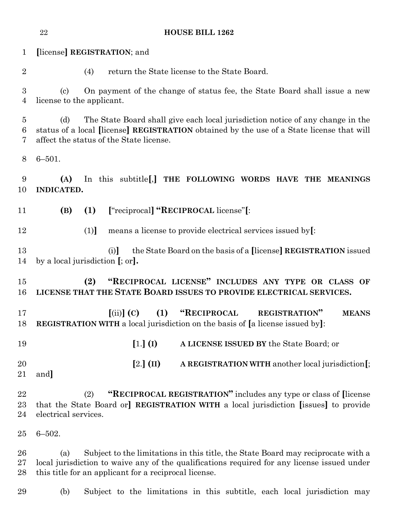|                          | 22                                                      | <b>HOUSE BILL 1262</b>                                                                                                                                                                                                                   |
|--------------------------|---------------------------------------------------------|------------------------------------------------------------------------------------------------------------------------------------------------------------------------------------------------------------------------------------------|
| $\mathbf{1}$             |                                                         | [license] REGISTRATION; and                                                                                                                                                                                                              |
| $\overline{2}$           |                                                         | return the State license to the State Board.<br>(4)                                                                                                                                                                                      |
| $\boldsymbol{3}$<br>4    | $\left( \mathrm{c}\right)$<br>license to the applicant. | On payment of the change of status fee, the State Board shall issue a new                                                                                                                                                                |
| $\overline{5}$<br>6<br>7 | (d)                                                     | The State Board shall give each local jurisdiction notice of any change in the<br>status of a local [license] REGISTRATION obtained by the use of a State license that will<br>affect the status of the State license.                   |
| 8                        | $6 - 501.$                                              |                                                                                                                                                                                                                                          |
| 9<br>10                  | (A)<br>INDICATED.                                       | In this subtitle [,] THE FOLLOWING WORDS HAVE THE MEANINGS                                                                                                                                                                               |
| 11                       | (B)                                                     | ["reciprocal] "RECIPROCAL license"[:<br>(1)                                                                                                                                                                                              |
| 12                       |                                                         | means a license to provide electrical services issued by.<br>(1)                                                                                                                                                                         |
| 13<br>14                 |                                                         | the State Board on the basis of a [license] REGISTRATION issued<br>(i)<br>by a local jurisdiction $[$ ; or].                                                                                                                             |
| 15<br>16                 |                                                         | "RECIPROCAL LICENSE" INCLUDES ANY TYPE OR CLASS OF<br>(2)<br>LICENSE THAT THE STATE BOARD ISSUES TO PROVIDE ELECTRICAL SERVICES.                                                                                                         |
| 17<br>18                 |                                                         | "RECIPROCAL<br>(1)<br>$(iii)$ (C)<br><b>REGISTRATION"</b><br><b>MEANS</b><br><b>REGISTRATION WITH</b> a local jurisdiction on the basis of [a license issued by]:                                                                        |
| 19                       |                                                         | $[1.]$ (I)<br>A LICENSE ISSUED BY the State Board; or                                                                                                                                                                                    |
| 20<br>21                 | and]                                                    | $[2.]$ (II)<br>A REGISTRATION WITH another local jurisdiction [;                                                                                                                                                                         |
| 22<br>23<br>24           | electrical services.                                    | "RECIPROCAL REGISTRATION" includes any type or class of [license]<br>(2)<br>that the State Board or] REGISTRATION WITH a local jurisdiction [issues] to provide                                                                          |
| 25                       | $6 - 502.$                                              |                                                                                                                                                                                                                                          |
| 26<br>27<br>28           | (a)                                                     | Subject to the limitations in this title, the State Board may reciprocate with a<br>local jurisdiction to waive any of the qualifications required for any license issued under<br>this title for an applicant for a reciprocal license. |
| 29                       | (b)                                                     | Subject to the limitations in this subtitle, each local jurisdiction may                                                                                                                                                                 |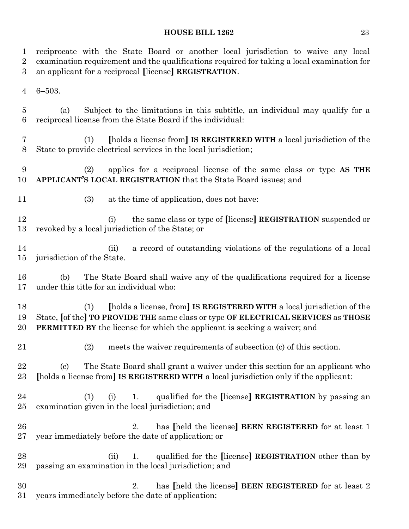| $\mathbf 1$<br>$\overline{2}$<br>3 | reciprocate with the State Board or another local jurisdiction to waive any local<br>examination requirement and the qualifications required for taking a local examination for<br>an applicant for a reciprocal [license] REGISTRATION.               |  |
|------------------------------------|--------------------------------------------------------------------------------------------------------------------------------------------------------------------------------------------------------------------------------------------------------|--|
| $\overline{4}$                     | $6 - 503.$                                                                                                                                                                                                                                             |  |
| 5<br>6                             | Subject to the limitations in this subtitle, an individual may qualify for a<br>(a)<br>reciprocal license from the State Board if the individual:                                                                                                      |  |
| 7<br>$8\,$                         | [holds a license from] IS REGISTERED WITH a local jurisdiction of the<br>(1)<br>State to provide electrical services in the local jurisdiction;                                                                                                        |  |
| 9<br>10                            | applies for a reciprocal license of the same class or type AS THE<br>(2)<br>APPLICANT'S LOCAL REGISTRATION that the State Board issues; and                                                                                                            |  |
| 11                                 | (3)<br>at the time of application, does not have:                                                                                                                                                                                                      |  |
| 12<br>13                           | the same class or type of [license] REGISTRATION suspended or<br>(i)<br>revoked by a local jurisdiction of the State; or                                                                                                                               |  |
| 14<br>15                           | a record of outstanding violations of the regulations of a local<br>(ii)<br>jurisdiction of the State.                                                                                                                                                 |  |
| 16<br>17                           | The State Board shall waive any of the qualifications required for a license<br>(b)<br>under this title for an individual who:                                                                                                                         |  |
| 18<br>19<br>20                     | [holds a license, from] IS REGISTERED WITH a local jurisdiction of the<br>(1)<br>State, [of the] TO PROVIDE THE same class or type OF ELECTRICAL SERVICES as THOSE<br><b>PERMITTED BY</b> the license for which the applicant is seeking a waiver; and |  |
| 21                                 | (2) meets the waiver requirements of subsection (c) of this section.                                                                                                                                                                                   |  |
| 22<br>23                           | The State Board shall grant a waiver under this section for an applicant who<br>$\left( \mathrm{c}\right)$<br>[holds a license from] IS REGISTERED WITH a local jurisdiction only if the applicant:                                                    |  |
| $\bf{24}$<br>25                    | qualified for the [license] REGISTRATION by passing an<br>(1)<br>(i)<br>1.<br>examination given in the local jurisdiction; and                                                                                                                         |  |
| 26<br>27                           | has [held the license] BEEN REGISTERED for at least 1<br>2.<br>year immediately before the date of application; or                                                                                                                                     |  |
| 28<br>29                           | qualified for the [license] REGISTRATION other than by<br>1.<br>(ii)<br>passing an examination in the local jurisdiction; and                                                                                                                          |  |
| 30<br>31                           | has [held the license] BEEN REGISTERED for at least 2<br>2.<br>years immediately before the date of application;                                                                                                                                       |  |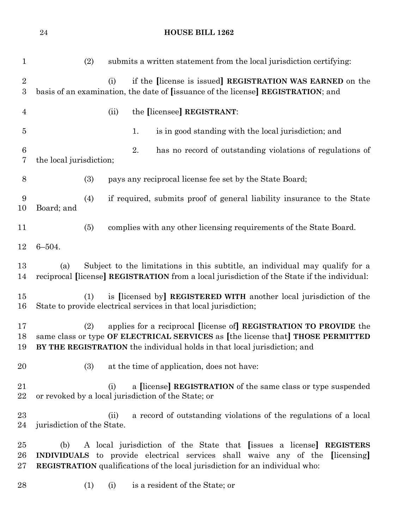| $\mathbf{1}$                       | submits a written statement from the local jurisdiction certifying:<br>(2)                                                                                                                                                                         |
|------------------------------------|----------------------------------------------------------------------------------------------------------------------------------------------------------------------------------------------------------------------------------------------------|
| $\overline{2}$<br>$\boldsymbol{3}$ | if the license is issued REGISTRATION WAS EARNED on the<br>(i)<br>basis of an examination, the date of [issuance of the license] REGISTRATION; and                                                                                                 |
| $\overline{4}$                     | the [licensee] REGISTRANT:<br>(ii)                                                                                                                                                                                                                 |
| $\overline{5}$                     | 1.<br>is in good standing with the local jurisdiction; and                                                                                                                                                                                         |
| $\boldsymbol{6}$<br>7              | 2.<br>has no record of outstanding violations of regulations of<br>the local jurisdiction;                                                                                                                                                         |
| $8\,$                              | (3)<br>pays any reciprocal license fee set by the State Board;                                                                                                                                                                                     |
| 9<br>10                            | if required, submits proof of general liability insurance to the State<br>(4)<br>Board; and                                                                                                                                                        |
| 11                                 | (5)<br>complies with any other licensing requirements of the State Board.                                                                                                                                                                          |
| 12                                 | $6 - 504.$                                                                                                                                                                                                                                         |
| 13<br>14                           | Subject to the limitations in this subtitle, an individual may qualify for a<br>(a)<br>reciprocal [license] REGISTRATION from a local jurisdiction of the State if the individual:                                                                 |
| 15<br>16                           | is [licensed by] REGISTERED WITH another local jurisdiction of the<br>(1)<br>State to provide electrical services in that local jurisdiction;                                                                                                      |
| 17<br>18<br>19                     | applies for a reciprocal [license of] REGISTRATION TO PROVIDE the<br>(2)<br>same class or type OF ELECTRICAL SERVICES as [the license that] THOSE PERMITTED<br>BY THE REGISTRATION the individual holds in that local jurisdiction; and            |
| 20                                 | (3)<br>at the time of application, does not have:                                                                                                                                                                                                  |
| 21<br>22                           | a [license] REGISTRATION of the same class or type suspended<br>(i)<br>or revoked by a local jurisdiction of the State; or                                                                                                                         |
| $^{23}$<br>24                      | a record of outstanding violations of the regulations of a local<br>(ii)<br>jurisdiction of the State.                                                                                                                                             |
| $25\,$<br>26<br>$27\,$             | A local jurisdiction of the State that [issues a license] REGISTERS<br>(b)<br><b>INDIVIDUALS</b> to provide electrical services shall waive any of the [licensing]<br>REGISTRATION qualifications of the local jurisdiction for an individual who: |
| 28                                 | is a resident of the State; or<br>(1)<br>(i)                                                                                                                                                                                                       |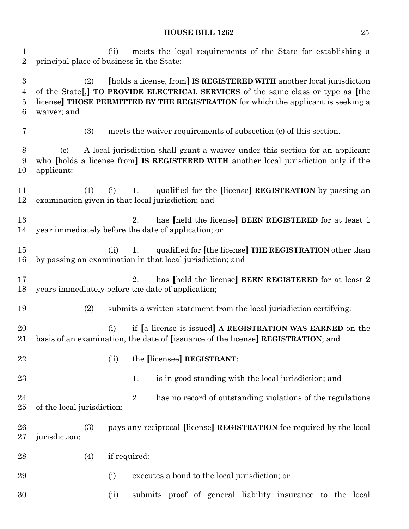(ii) meets the legal requirements of the State for establishing a principal place of business in the State; (2) **[**holds a license, from**] IS REGISTERED WITH** another local jurisdiction of the State**[**,**] TO PROVIDE ELECTRICAL SERVICES** of the same class or type as **[**the license**] THOSE PERMITTED BY THE REGISTRATION** for which the applicant is seeking a waiver; and (3) meets the waiver requirements of subsection (c) of this section. (c) A local jurisdiction shall grant a waiver under this section for an applicant who **[**holds a license from**] IS REGISTERED WITH** another local jurisdiction only if the applicant: (1) (i) 1. qualified for the **[**license**] REGISTRATION** by passing an examination given in that local jurisdiction; and 2. has **[**held the license**] BEEN REGISTERED** for at least 1 year immediately before the date of application; or (ii) 1. qualified for **[**the license**] THE REGISTRATION** other than by passing an examination in that local jurisdiction; and 2. has **[**held the license**] BEEN REGISTERED** for at least 2 years immediately before the date of application; (2) submits a written statement from the local jurisdiction certifying: (i) if **[**a license is issued**] A REGISTRATION WAS EARNED** on the basis of an examination, the date of **[**issuance of the license**] REGISTRATION**; and (ii) the **[**licensee**] REGISTRANT**: 23 1. is in good standing with the local jurisdiction; and 2. has no record of outstanding violations of the regulations of the local jurisdiction; (3) pays any reciprocal **[**license**] REGISTRATION** fee required by the local jurisdiction; 28 (4) if required: (i) executes a bond to the local jurisdiction; or (ii) submits proof of general liability insurance to the local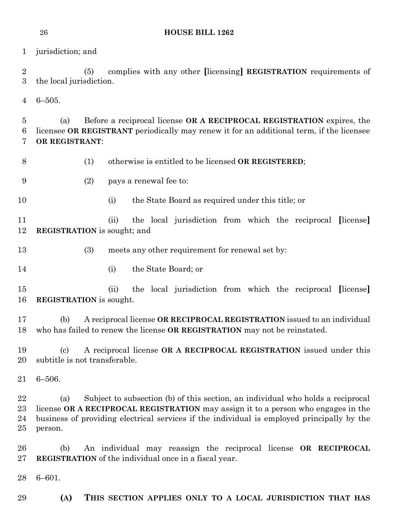jurisdiction; and

 (5) complies with any other **[**licensing**] REGISTRATION** requirements of the local jurisdiction.

6–505.

 (a) Before a reciprocal license **OR A RECIPROCAL REGISTRATION** expires, the licensee **OR REGISTRANT** periodically may renew it for an additional term, if the licensee **OR REGISTRANT**:

(1) otherwise is entitled to be licensed **OR REGISTERED**;

- (2) pays a renewal fee to:
- 

(i) the State Board as required under this title; or

 (ii) the local jurisdiction from which the reciprocal **[**license**] REGISTRATION** is sought; and

(3) meets any other requirement for renewal set by:

(i) the State Board; or

 (ii) the local jurisdiction from which the reciprocal **[**license**] REGISTRATION** is sought.

 (b) A reciprocal license **OR RECIPROCAL REGISTRATION** issued to an individual who has failed to renew the license **OR REGISTRATION** may not be reinstated.

 (c) A reciprocal license **OR A RECIPROCAL REGISTRATION** issued under this subtitle is not transferable.

6–506.

 (a) Subject to subsection (b) of this section, an individual who holds a reciprocal license **OR A RECIPROCAL REGISTRATION** may assign it to a person who engages in the business of providing electrical services if the individual is employed principally by the person.

 (b) An individual may reassign the reciprocal license **OR RECIPROCAL REGISTRATION** of the individual once in a fiscal year.

6–601.

**(A) THIS SECTION APPLIES ONLY TO A LOCAL JURISDICTION THAT HAS**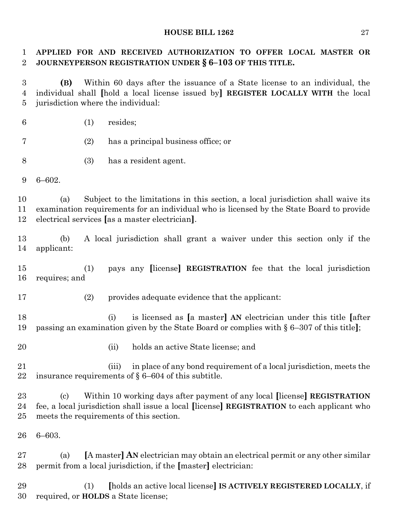# **APPLIED FOR AND RECEIVED AUTHORIZATION TO OFFER LOCAL MASTER OR JOURNEYPERSON REGISTRATION UNDER § 6–103 OF THIS TITLE.**

 **(B)** Within 60 days after the issuance of a State license to an individual, the individual shall **[**hold a local license issued by**] REGISTER LOCALLY WITH** the local jurisdiction where the individual:

(1) resides;

- (2) has a principal business office; or
- (3) has a resident agent.
- 6–602.

 (a) Subject to the limitations in this section, a local jurisdiction shall waive its examination requirements for an individual who is licensed by the State Board to provide electrical services **[**as a master electrician**]**.

 (b) A local jurisdiction shall grant a waiver under this section only if the applicant:

 (1) pays any **[**license**] REGISTRATION** fee that the local jurisdiction requires; and

(2) provides adequate evidence that the applicant:

 (i) is licensed as **[**a master**] AN** electrician under this title **[**after passing an examination given by the State Board or complies with § 6–307 of this title**]**;

- 
- (ii) holds an active State license; and
- (iii) in place of any bond requirement of a local jurisdiction, meets the insurance requirements of § 6–604 of this subtitle.

 (c) Within 10 working days after payment of any local **[**license**] REGISTRATION** fee, a local jurisdiction shall issue a local **[**license**] REGISTRATION** to each applicant who meets the requirements of this section.

6–603.

 (a) **[**A master**] AN** electrician may obtain an electrical permit or any other similar permit from a local jurisdiction, if the **[**master**]** electrician:

 (1) **[**holds an active local license**] IS ACTIVELY REGISTERED LOCALLY**, if required, or **HOLDS** a State license;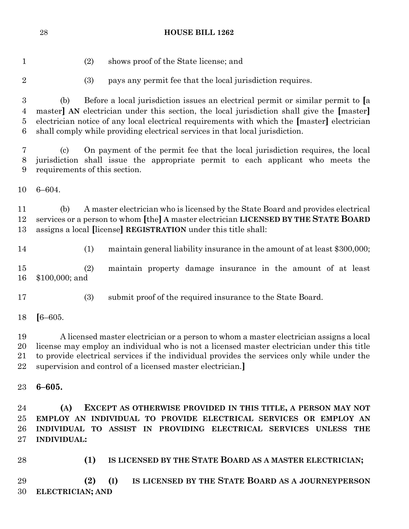| 1                |                            | (2)<br>shows proof of the State license; and                                                |
|------------------|----------------------------|---------------------------------------------------------------------------------------------|
|                  |                            |                                                                                             |
| $\overline{2}$   |                            | (3)<br>pays any permit fee that the local jurisdiction requires.                            |
| $\boldsymbol{3}$ | (b)                        | Before a local jurisdiction issues an electrical permit or similar permit to [a             |
| 4                |                            | master] AN electrician under this section, the local jurisdiction shall give the [master]   |
| 5                |                            | electrician notice of any local electrical requirements with which the [master] electrician |
| 6                |                            | shall comply while providing electrical services in that local jurisdiction.                |
|                  |                            |                                                                                             |
| 7                | $\left( \mathrm{c}\right)$ | On payment of the permit fee that the local jurisdiction requires, the local                |
| 8                |                            | jurisdiction shall issue the appropriate permit to each applicant who meets the             |
| 9                |                            | requirements of this section.                                                               |
|                  |                            |                                                                                             |
| 10               | $6 - 604.$                 |                                                                                             |
| 11               | (b)                        | A master electrician who is licensed by the State Board and provides electrical             |
| 12               |                            | services or a person to whom [the] A master electrician LICENSED BY THE STATE BOARD         |
|                  |                            |                                                                                             |
| 13               |                            | assigns a local [license] REGISTRATION under this title shall:                              |
| 14               |                            | (1)<br>maintain general liability insurance in the amount of at least \$300,000;            |
|                  |                            |                                                                                             |
| 15               |                            | (2)<br>maintain property damage insurance in the amount of at least                         |
| 16               | $$100,000;$ and            |                                                                                             |
|                  |                            |                                                                                             |
| 17               |                            | (3)<br>submit proof of the required insurance to the State Board.                           |
| 18               | $[6 - 605]$                |                                                                                             |
|                  |                            |                                                                                             |
| 19               |                            | A licensed master electrician or a person to whom a master electrician assigns a local      |
| 20               |                            | license may employ an individual who is not a licensed master electrician under this title  |
| 21               |                            | to provide electrical services if the individual provides the services only while under the |
| 22               |                            | supervision and control of a licensed master electrician.                                   |
|                  |                            |                                                                                             |
| 23               | $6 - 605.$                 |                                                                                             |
| 24               | (A)                        | EXCEPT AS OTHERWISE PROVIDED IN THIS TITLE, A PERSON MAY NOT                                |
| 25               |                            | EMPLOY AN INDIVIDUAL TO PROVIDE ELECTRICAL SERVICES OR EMPLOY AN                            |
| 26               |                            | INDIVIDUAL TO ASSIST IN PROVIDING ELECTRICAL SERVICES UNLESS THE                            |
| $27\,$           | <b>INDIVIDUAL:</b>         |                                                                                             |
|                  |                            |                                                                                             |
| 28               |                            | IS LICENSED BY THE STATE BOARD AS A MASTER ELECTRICIAN;<br>(1)                              |
|                  |                            |                                                                                             |
|                  |                            |                                                                                             |

 **(2) (I) IS LICENSED BY THE STATE BOARD AS A JOURNEYPERSON ELECTRICIAN; AND**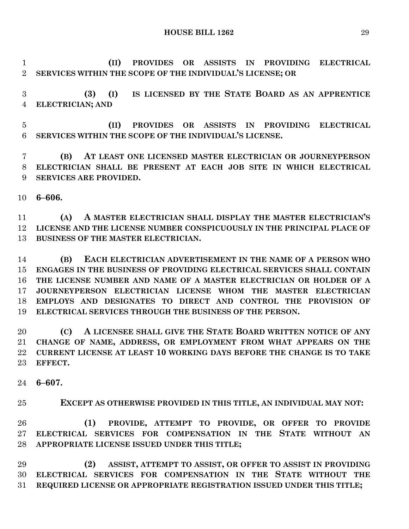**(II) PROVIDES OR ASSISTS IN PROVIDING ELECTRICAL SERVICES WITHIN THE SCOPE OF THE INDIVIDUAL'S LICENSE; OR**

 **(3) (I) IS LICENSED BY THE STATE BOARD AS AN APPRENTICE ELECTRICIAN; AND**

 **(II) PROVIDES OR ASSISTS IN PROVIDING ELECTRICAL SERVICES WITHIN THE SCOPE OF THE INDIVIDUAL'S LICENSE.**

 **(B) AT LEAST ONE LICENSED MASTER ELECTRICIAN OR JOURNEYPERSON ELECTRICIAN SHALL BE PRESENT AT EACH JOB SITE IN WHICH ELECTRICAL SERVICES ARE PROVIDED.**

**6–606.**

 **(A) A MASTER ELECTRICIAN SHALL DISPLAY THE MASTER ELECTRICIAN'S LICENSE AND THE LICENSE NUMBER CONSPICUOUSLY IN THE PRINCIPAL PLACE OF BUSINESS OF THE MASTER ELECTRICIAN.**

 **(B) EACH ELECTRICIAN ADVERTISEMENT IN THE NAME OF A PERSON WHO ENGAGES IN THE BUSINESS OF PROVIDING ELECTRICAL SERVICES SHALL CONTAIN THE LICENSE NUMBER AND NAME OF A MASTER ELECTRICIAN OR HOLDER OF A JOURNEYPERSON ELECTRICIAN LICENSE WHOM THE MASTER ELECTRICIAN EMPLOYS AND DESIGNATES TO DIRECT AND CONTROL THE PROVISION OF ELECTRICAL SERVICES THROUGH THE BUSINESS OF THE PERSON.**

 **(C) A LICENSEE SHALL GIVE THE STATE BOARD WRITTEN NOTICE OF ANY CHANGE OF NAME, ADDRESS, OR EMPLOYMENT FROM WHAT APPEARS ON THE CURRENT LICENSE AT LEAST 10 WORKING DAYS BEFORE THE CHANGE IS TO TAKE EFFECT.**

**6–607.**

**EXCEPT AS OTHERWISE PROVIDED IN THIS TITLE, AN INDIVIDUAL MAY NOT:**

 **(1) PROVIDE, ATTEMPT TO PROVIDE, OR OFFER TO PROVIDE ELECTRICAL SERVICES FOR COMPENSATION IN THE STATE WITHOUT AN APPROPRIATE LICENSE ISSUED UNDER THIS TITLE;**

 **(2) ASSIST, ATTEMPT TO ASSIST, OR OFFER TO ASSIST IN PROVIDING ELECTRICAL SERVICES FOR COMPENSATION IN THE STATE WITHOUT THE REQUIRED LICENSE OR APPROPRIATE REGISTRATION ISSUED UNDER THIS TITLE;**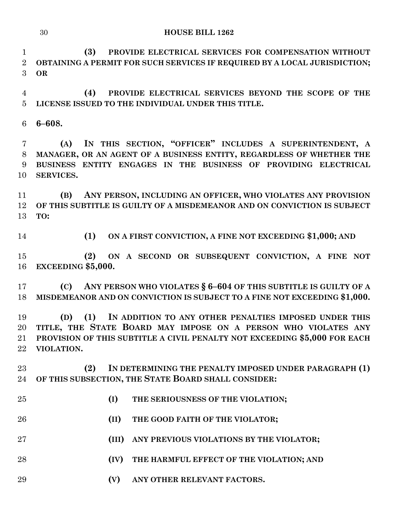**(3) PROVIDE ELECTRICAL SERVICES FOR COMPENSATION WITHOUT OBTAINING A PERMIT FOR SUCH SERVICES IF REQUIRED BY A LOCAL JURISDICTION; OR**

 **(4) PROVIDE ELECTRICAL SERVICES BEYOND THE SCOPE OF THE LICENSE ISSUED TO THE INDIVIDUAL UNDER THIS TITLE.**

**6–608.**

 **(A) IN THIS SECTION, "OFFICER" INCLUDES A SUPERINTENDENT, A MANAGER, OR AN AGENT OF A BUSINESS ENTITY, REGARDLESS OF WHETHER THE BUSINESS ENTITY ENGAGES IN THE BUSINESS OF PROVIDING ELECTRICAL SERVICES.**

 **(B) ANY PERSON, INCLUDING AN OFFICER, WHO VIOLATES ANY PROVISION OF THIS SUBTITLE IS GUILTY OF A MISDEMEANOR AND ON CONVICTION IS SUBJECT TO:**

**(1) ON A FIRST CONVICTION, A FINE NOT EXCEEDING \$1,000; AND**

 **(2) ON A SECOND OR SUBSEQUENT CONVICTION, A FINE NOT EXCEEDING \$5,000.**

 **(C) ANY PERSON WHO VIOLATES § 6–604 OF THIS SUBTITLE IS GUILTY OF A MISDEMEANOR AND ON CONVICTION IS SUBJECT TO A FINE NOT EXCEEDING \$1,000.**

 **(D) (1) IN ADDITION TO ANY OTHER PENALTIES IMPOSED UNDER THIS TITLE, THE STATE BOARD MAY IMPOSE ON A PERSON WHO VIOLATES ANY PROVISION OF THIS SUBTITLE A CIVIL PENALTY NOT EXCEEDING \$5,000 FOR EACH VIOLATION.**

 **(2) IN DETERMINING THE PENALTY IMPOSED UNDER PARAGRAPH (1) OF THIS SUBSECTION, THE STATE BOARD SHALL CONSIDER:**

- **(I) THE SERIOUSNESS OF THE VIOLATION;**
- **(II) THE GOOD FAITH OF THE VIOLATOR;**
- **(III) ANY PREVIOUS VIOLATIONS BY THE VIOLATOR;**
- **(IV) THE HARMFUL EFFECT OF THE VIOLATION; AND**
- **(V) ANY OTHER RELEVANT FACTORS.**